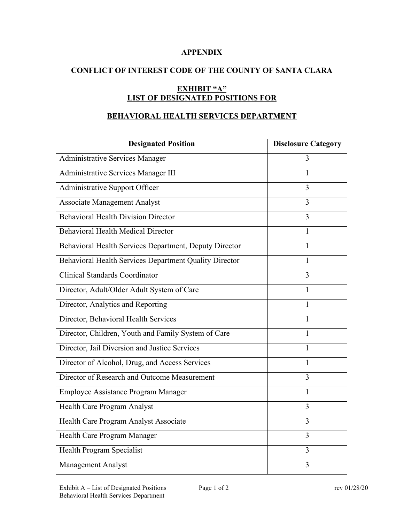## **APPENDIX**

# **CONFLICT OF INTEREST CODE OF THE COUNTY OF SANTA CLARA**

# **EXHIBIT "A" LIST OF DESIGNATED POSITIONS FOR**

## **BEHAVIORAL HEALTH SERVICES DEPARTMENT**

| <b>Designated Position</b>                             | <b>Disclosure Category</b> |
|--------------------------------------------------------|----------------------------|
| <b>Administrative Services Manager</b>                 | 3                          |
| Administrative Services Manager III                    | 1                          |
| Administrative Support Officer                         | 3                          |
| <b>Associate Management Analyst</b>                    | 3                          |
| <b>Behavioral Health Division Director</b>             | $\overline{3}$             |
| <b>Behavioral Health Medical Director</b>              | 1                          |
| Behavioral Health Services Department, Deputy Director | 1                          |
| Behavioral Health Services Department Quality Director | 1                          |
| Clinical Standards Coordinator                         | $\overline{3}$             |
| Director, Adult/Older Adult System of Care             | 1                          |
| Director, Analytics and Reporting                      | 1                          |
| Director, Behavioral Health Services                   | 1                          |
| Director, Children, Youth and Family System of Care    | 1                          |
| Director, Jail Diversion and Justice Services          | 1                          |
| Director of Alcohol, Drug, and Access Services         | 1                          |
| Director of Research and Outcome Measurement           | 3                          |
| Employee Assistance Program Manager                    | $\mathbf{1}$               |
| Health Care Program Analyst                            | $\overline{3}$             |
| Health Care Program Analyst Associate                  | 3                          |
| Health Care Program Manager                            | $\overline{3}$             |
| Health Program Specialist                              | $\overline{3}$             |
| <b>Management Analyst</b>                              | 3                          |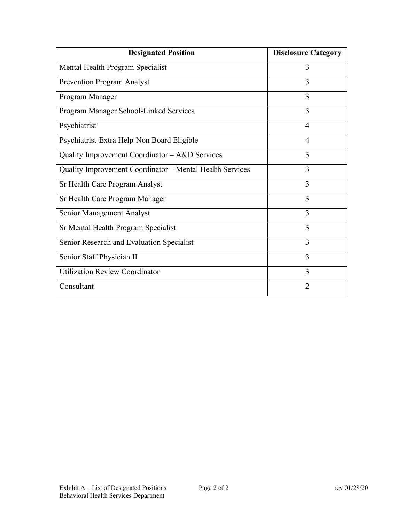| <b>Designated Position</b>                               | <b>Disclosure Category</b> |
|----------------------------------------------------------|----------------------------|
| Mental Health Program Specialist                         | 3                          |
| <b>Prevention Program Analyst</b>                        | 3                          |
| Program Manager                                          | 3                          |
| Program Manager School-Linked Services                   | 3                          |
| Psychiatrist                                             | 4                          |
| Psychiatrist-Extra Help-Non Board Eligible               | 4                          |
| Quality Improvement Coordinator - A&D Services           | 3                          |
| Quality Improvement Coordinator - Mental Health Services | 3                          |
| Sr Health Care Program Analyst                           | 3                          |
| Sr Health Care Program Manager                           | 3                          |
| Senior Management Analyst                                | 3                          |
| Sr Mental Health Program Specialist                      | 3                          |
| Senior Research and Evaluation Specialist                | 3                          |
| Senior Staff Physician II                                | 3                          |
| <b>Utilization Review Coordinator</b>                    | 3                          |
| Consultant                                               | $\overline{2}$             |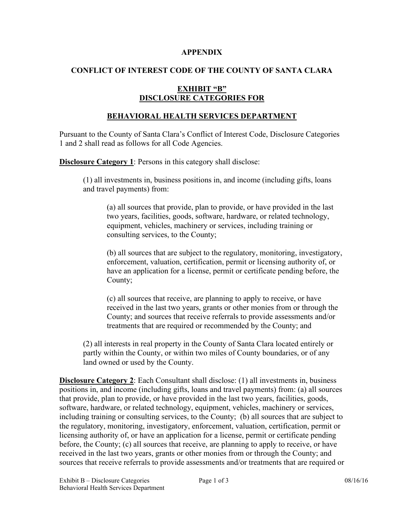#### **APPENDIX**

# **CONFLICT OF INTEREST CODE OF THE COUNTY OF SANTA CLARA**

## **EXHIBIT "B" DISCLOSURE CATEGORIES FOR**

### **BEHAVIORAL HEALTH SERVICES DEPARTMENT**

Pursuant to the County of Santa Clara's Conflict of Interest Code, Disclosure Categories 1 and 2 shall read as follows for all Code Agencies.

**Disclosure Category 1**: Persons in this category shall disclose:

(1) all investments in, business positions in, and income (including gifts, loans and travel payments) from:

(a) all sources that provide, plan to provide, or have provided in the last two years, facilities, goods, software, hardware, or related technology, equipment, vehicles, machinery or services, including training or consulting services, to the County;

(b) all sources that are subject to the regulatory, monitoring, investigatory, enforcement, valuation, certification, permit or licensing authority of, or have an application for a license, permit or certificate pending before, the County;

(c) all sources that receive, are planning to apply to receive, or have received in the last two years, grants or other monies from or through the County; and sources that receive referrals to provide assessments and/or treatments that are required or recommended by the County; and

(2) all interests in real property in the County of Santa Clara located entirely or partly within the County, or within two miles of County boundaries, or of any land owned or used by the County.

**Disclosure Category 2**: Each Consultant shall disclose: (1) all investments in, business positions in, and income (including gifts, loans and travel payments) from: (a) all sources that provide, plan to provide, or have provided in the last two years, facilities, goods, software, hardware, or related technology, equipment, vehicles, machinery or services, including training or consulting services, to the County; (b) all sources that are subject to the regulatory, monitoring, investigatory, enforcement, valuation, certification, permit or licensing authority of, or have an application for a license, permit or certificate pending before, the County; (c) all sources that receive, are planning to apply to receive, or have received in the last two years, grants or other monies from or through the County; and sources that receive referrals to provide assessments and/or treatments that are required or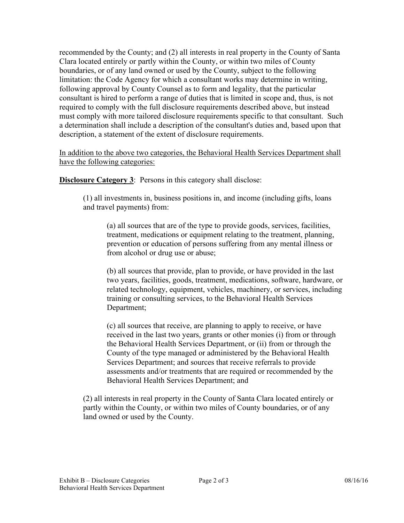recommended by the County; and (2) all interests in real property in the County of Santa Clara located entirely or partly within the County, or within two miles of County boundaries, or of any land owned or used by the County, subject to the following limitation: the Code Agency for which a consultant works may determine in writing, following approval by County Counsel as to form and legality, that the particular consultant is hired to perform a range of duties that is limited in scope and, thus, is not required to comply with the full disclosure requirements described above, but instead must comply with more tailored disclosure requirements specific to that consultant. Such a determination shall include a description of the consultant's duties and, based upon that description, a statement of the extent of disclosure requirements.

In addition to the above two categories, the Behavioral Health Services Department shall have the following categories:

**Disclosure Category 3:** Persons in this category shall disclose:

(1) all investments in, business positions in, and income (including gifts, loans and travel payments) from:

(a) all sources that are of the type to provide goods, services, facilities, treatment, medications or equipment relating to the treatment, planning, prevention or education of persons suffering from any mental illness or from alcohol or drug use or abuse;

(b) all sources that provide, plan to provide, or have provided in the last two years, facilities, goods, treatment, medications, software, hardware, or related technology, equipment, vehicles, machinery, or services, including training or consulting services, to the Behavioral Health Services Department;

(c) all sources that receive, are planning to apply to receive, or have received in the last two years, grants or other monies (i) from or through the Behavioral Health Services Department, or (ii) from or through the County of the type managed or administered by the Behavioral Health Services Department; and sources that receive referrals to provide assessments and/or treatments that are required or recommended by the Behavioral Health Services Department; and

(2) all interests in real property in the County of Santa Clara located entirely or partly within the County, or within two miles of County boundaries, or of any land owned or used by the County.